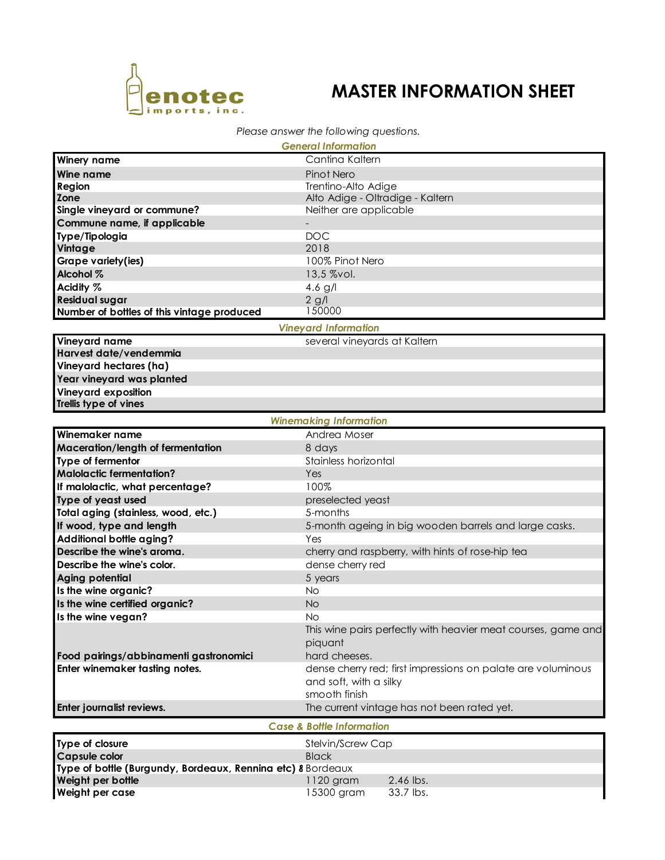

## **MASTER INFORMATION SHEET**

## *Please answer the following questions.*

| <b>General Information</b>                                  |                                                                     |                                                  |  |  |
|-------------------------------------------------------------|---------------------------------------------------------------------|--------------------------------------------------|--|--|
| <b>Winery name</b>                                          | Cantina Kaltern                                                     |                                                  |  |  |
| Wine name                                                   | Pinot Nero                                                          |                                                  |  |  |
| Region                                                      |                                                                     | Trentino-Alto Adige                              |  |  |
| Zone                                                        | Alto Adige - Oltradige - Kaltern                                    |                                                  |  |  |
| Single vineyard or commune?                                 |                                                                     | Neither are applicable                           |  |  |
| Commune name, if applicable                                 |                                                                     |                                                  |  |  |
| Type/Tipologia                                              | <b>DOC</b>                                                          |                                                  |  |  |
| Vintage                                                     | 2018                                                                |                                                  |  |  |
| Grape variety(ies)                                          | 100% Pinot Nero                                                     |                                                  |  |  |
| Alcohol %                                                   | 13,5 %vol.                                                          |                                                  |  |  |
| Acidity %                                                   | 4.6 $g/l$                                                           |                                                  |  |  |
| <b>Residual sugar</b>                                       | $2$ g/l<br>150000                                                   |                                                  |  |  |
| Number of bottles of this vintage produced                  |                                                                     |                                                  |  |  |
|                                                             | <b>Vineyard Information</b>                                         |                                                  |  |  |
| Vineyard name                                               | several vineyards at Kaltern                                        |                                                  |  |  |
| Harvest date/vendemmia                                      |                                                                     |                                                  |  |  |
| Vineyard hectares (ha)                                      |                                                                     |                                                  |  |  |
| Year vineyard was planted                                   |                                                                     |                                                  |  |  |
| Vineyard exposition                                         |                                                                     |                                                  |  |  |
| Trellis type of vines                                       |                                                                     |                                                  |  |  |
|                                                             | <b>Winemaking Information</b>                                       |                                                  |  |  |
| Winemaker name                                              | Andrea Moser                                                        |                                                  |  |  |
| Maceration/length of fermentation                           |                                                                     | 8 days                                           |  |  |
| Type of fermentor                                           | Stainless horizontal                                                |                                                  |  |  |
| <b>Malolactic fermentation?</b>                             | Yes                                                                 |                                                  |  |  |
| If malolactic, what percentage?                             | 100%                                                                |                                                  |  |  |
| Type of yeast used                                          | preselected yeast                                                   |                                                  |  |  |
| Total aging (stainless, wood, etc.)                         | 5-months                                                            |                                                  |  |  |
| If wood, type and length                                    | 5-month ageing in big wooden barrels and large casks.               |                                                  |  |  |
| <b>Additional bottle aging?</b>                             |                                                                     | Yes                                              |  |  |
| Describe the wine's aroma.                                  |                                                                     | cherry and raspberry, with hints of rose-hip tea |  |  |
| Describe the wine's color.                                  | dense cherry red                                                    |                                                  |  |  |
| Aging potential                                             | 5 years                                                             |                                                  |  |  |
| Is the wine organic?                                        | No                                                                  |                                                  |  |  |
| Is the wine certified organic?                              | <b>No</b>                                                           |                                                  |  |  |
| Is the wine vegan?                                          | No<br>This wine pairs perfectly with heavier meat courses, game and |                                                  |  |  |
|                                                             |                                                                     |                                                  |  |  |
|                                                             | piquant                                                             |                                                  |  |  |
| Food pairings/abbinamenti gastronomici                      | hard cheeses.                                                       |                                                  |  |  |
| Enter winemaker tasting notes.                              | dense cherry red; first impressions on palate are voluminous        |                                                  |  |  |
|                                                             | and soft, with a silky                                              |                                                  |  |  |
|                                                             | smooth finish                                                       |                                                  |  |  |
| Enter journalist reviews.                                   |                                                                     | The current vintage has not been rated yet.      |  |  |
|                                                             | <b>Case &amp; Bottle Information</b>                                |                                                  |  |  |
| Type of closure                                             | Stelvin/Screw Cap                                                   |                                                  |  |  |
| <b>Capsule color</b>                                        | <b>Black</b>                                                        |                                                  |  |  |
| Type of bottle (Burgundy, Bordeaux, Rennina etc) 8 Bordeaux |                                                                     |                                                  |  |  |
| Weight per bottle                                           | 1120 gram                                                           | 2.46 lbs.                                        |  |  |
| Weight per case                                             | 15300 gram                                                          | 33.7 lbs.                                        |  |  |